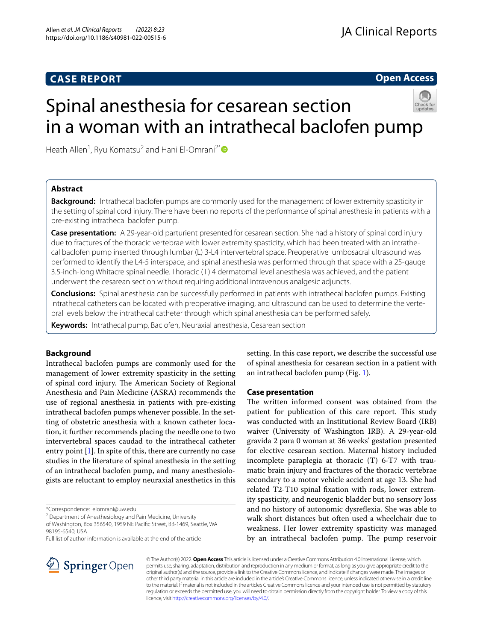## **CASE REPORT**

**Open Access**

# Spinal anesthesia for cesarean section in a woman with an intrathecal baclofen pump

Heath Allen<sup>1</sup>, Ryu Komatsu<sup>2</sup> and Hani El-Omrani<sup>2[\\*](http://orcid.org/0000-0002-3743-3649)</sup>

## **Abstract**

**Background:** Intrathecal baclofen pumps are commonly used for the management of lower extremity spasticity in the setting of spinal cord injury. There have been no reports of the performance of spinal anesthesia in patients with a pre-existing intrathecal baclofen pump.

**Case presentation:** A 29-year-old parturient presented for cesarean section. She had a history of spinal cord injury due to fractures of the thoracic vertebrae with lower extremity spasticity, which had been treated with an intrathecal baclofen pump inserted through lumbar (L) 3-L4 intervertebral space. Preoperative lumbosacral ultrasound was performed to identify the L4-5 interspace, and spinal anesthesia was performed through that space with a 25-gauge 3.5-inch-long Whitacre spinal needle. Thoracic (T) 4 dermatomal level anesthesia was achieved, and the patient underwent the cesarean section without requiring additional intravenous analgesic adjuncts.

**Conclusions:** Spinal anesthesia can be successfully performed in patients with intrathecal baclofen pumps. Existing intrathecal catheters can be located with preoperative imaging, and ultrasound can be used to determine the vertebral levels below the intrathecal catheter through which spinal anesthesia can be performed safely.

**Keywords:** Intrathecal pump, Baclofen, Neuraxial anesthesia, Cesarean section

## **Background**

Intrathecal baclofen pumps are commonly used for the management of lower extremity spasticity in the setting of spinal cord injury. The American Society of Regional Anesthesia and Pain Medicine (ASRA) recommends the use of regional anesthesia in patients with pre-existing intrathecal baclofen pumps whenever possible. In the setting of obstetric anesthesia with a known catheter location, it further recommends placing the needle one to two intervertebral spaces caudad to the intrathecal catheter entry point [[1\]](#page-2-0). In spite of this, there are currently no case studies in the literature of spinal anesthesia in the setting of an intrathecal baclofen pump, and many anesthesiologists are reluctant to employ neuraxial anesthetics in this

\*Correspondence: elomrani@uw.edu

<sup>2</sup> Department of Anesthesiology and Pain Medicine, University

of Washington, Box 356540, 1959 NE Pacifc Street, BB‑1469, Seattle, WA 98195‑6540, USA

Full list of author information is available at the end of the article

setting. In this case report, we describe the successful use of spinal anesthesia for cesarean section in a patient with an intrathecal baclofen pump (Fig. [1\)](#page-1-0).

## **Case presentation**

The written informed consent was obtained from the patient for publication of this care report. This study was conducted with an Institutional Review Board (IRB) waiver (University of Washington IRB). A 29-year-old gravida 2 para 0 woman at 36 weeks' gestation presented for elective cesarean section. Maternal history included incomplete paraplegia at thoracic (T) 6-T7 with traumatic brain injury and fractures of the thoracic vertebrae secondary to a motor vehicle accident at age 13. She had related T2-T10 spinal fxation with rods, lower extremity spasticity, and neurogenic bladder but no sensory loss and no history of autonomic dysrefexia. She was able to walk short distances but often used a wheelchair due to weakness. Her lower extremity spasticity was managed by an intrathecal baclofen pump. The pump reservoir



© The Author(s) 2022. **Open Access** This article is licensed under a Creative Commons Attribution 4.0 International License, which permits use, sharing, adaptation, distribution and reproduction in any medium or format, as long as you give appropriate credit to the original author(s) and the source, provide a link to the Creative Commons licence, and indicate if changes were made. The images or other third party material in this article are included in the article's Creative Commons licence, unless indicated otherwise in a credit line to the material. If material is not included in the article's Creative Commons licence and your intended use is not permitted by statutory regulation or exceeds the permitted use, you will need to obtain permission directly from the copyright holder. To view a copy of this licence, visit [http://creativecommons.org/licenses/by/4.0/.](http://creativecommons.org/licenses/by/4.0/)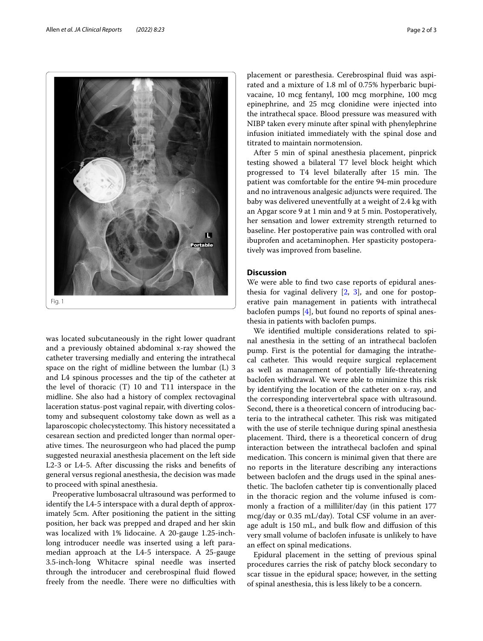

<span id="page-1-0"></span>was located subcutaneously in the right lower quadrant and a previously obtained abdominal x-ray showed the catheter traversing medially and entering the intrathecal space on the right of midline between the lumbar (L) 3 and L4 spinous processes and the tip of the catheter at the level of thoracic (T) 10 and T11 interspace in the midline. She also had a history of complex rectovaginal laceration status-post vaginal repair, with diverting colostomy and subsequent colostomy take down as well as a laparoscopic cholecystectomy. This history necessitated a cesarean section and predicted longer than normal operative times. The neurosurgeon who had placed the pump suggested neuraxial anesthesia placement on the left side L2-3 or L4-5. After discussing the risks and benefts of general versus regional anesthesia, the decision was made to proceed with spinal anesthesia.

Preoperative lumbosacral ultrasound was performed to identify the L4-5 interspace with a dural depth of approximately 5cm. After positioning the patient in the sitting position, her back was prepped and draped and her skin was localized with 1% lidocaine. A 20-gauge 1.25-inchlong introducer needle was inserted using a left paramedian approach at the L4-5 interspace. A 25-gauge 3.5-inch-long Whitacre spinal needle was inserted through the introducer and cerebrospinal fuid fowed freely from the needle. There were no difficulties with placement or paresthesia. Cerebrospinal fuid was aspirated and a mixture of 1.8 ml of 0.75% hyperbaric bupivacaine, 10 mcg fentanyl, 100 mcg morphine, 100 mcg epinephrine, and 25 mcg clonidine were injected into the intrathecal space. Blood pressure was measured with NIBP taken every minute after spinal with phenylephrine infusion initiated immediately with the spinal dose and titrated to maintain normotension.

After 5 min of spinal anesthesia placement, pinprick testing showed a bilateral T7 level block height which progressed to T4 level bilaterally after 15 min. The patient was comfortable for the entire 94-min procedure and no intravenous analgesic adjuncts were required. The baby was delivered uneventfully at a weight of 2.4 kg with an Apgar score 9 at 1 min and 9 at 5 min. Postoperatively, her sensation and lower extremity strength returned to baseline. Her postoperative pain was controlled with oral ibuprofen and acetaminophen. Her spasticity postoperatively was improved from baseline.

## **Discussion**

We were able to fnd two case reports of epidural anesthesia for vaginal delivery  $[2, 3]$  $[2, 3]$  $[2, 3]$  $[2, 3]$ , and one for postoperative pain management in patients with intrathecal baclofen pumps [\[4\]](#page-2-3), but found no reports of spinal anesthesia in patients with baclofen pumps.

We identifed multiple considerations related to spinal anesthesia in the setting of an intrathecal baclofen pump. First is the potential for damaging the intrathecal catheter. This would require surgical replacement as well as management of potentially life-threatening baclofen withdrawal. We were able to minimize this risk by identifying the location of the catheter on x-ray, and the corresponding intervertebral space with ultrasound. Second, there is a theoretical concern of introducing bacteria to the intrathecal catheter. This risk was mitigated with the use of sterile technique during spinal anesthesia placement. Third, there is a theoretical concern of drug interaction between the intrathecal baclofen and spinal medication. This concern is minimal given that there are no reports in the literature describing any interactions between baclofen and the drugs used in the spinal anesthetic. The baclofen catheter tip is conventionally placed in the thoracic region and the volume infused is commonly a fraction of a milliliter/day (in this patient 177 mcg/day or 0.35 mL/day). Total CSF volume in an average adult is 150 mL, and bulk fow and difusion of this very small volume of baclofen infusate is unlikely to have an efect on spinal medications.

Epidural placement in the setting of previous spinal procedures carries the risk of patchy block secondary to scar tissue in the epidural space; however, in the setting of spinal anesthesia, this is less likely to be a concern.